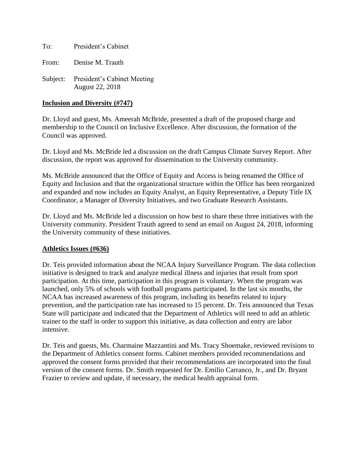To: President's Cabinet

From: Denise M. Trauth

Subject: President's Cabinet Meeting August 22, 2018

### **Inclusion and Diversity (#747)**

Dr. Lloyd and guest, Ms. Ameerah McBride, presented a draft of the proposed charge and membership to the Council on Inclusive Excellence. After discussion, the formation of the Council was approved.

Dr. Lloyd and Ms. McBride led a discussion on the draft Campus Climate Survey Report. After discussion, the report was approved for dissemination to the University community.

Ms. McBride announced that the Office of Equity and Access is being renamed the Office of Equity and Inclusion and that the organizational structure within the Office has been reorganized and expanded and now includes an Equity Analyst, an Equity Representative, a Deputy Title IX Coordinator, a Manager of Diversity Initiatives, and two Graduate Research Assistants.

Dr. Lloyd and Ms. McBride led a discussion on how best to share these three initiatives with the University community. President Trauth agreed to send an email on August 24, 2018, informing the University community of these initiatives.

### **Athletics Issues (#636)**

Dr. Teis provided information about the NCAA Injury Surveillance Program. The data collection initiative is designed to track and analyze medical illness and injuries that result from sport participation. At this time, participation in this program is voluntary. When the program was launched, only 5% of schools with football programs participated. In the last six months, the NCAA has increased awareness of this program, including its benefits related to injury prevention, and the participation rate has increased to 15 percent. Dr. Teis announced that Texas State will participate and indicated that the Department of Athletics will need to add an athletic trainer to the staff in order to support this initiative, as data collection and entry are labor intensive.

Dr. Teis and guests, Ms. Charmaine Mazzantini and Ms. Tracy Shoemake, reviewed revisions to the Department of Athletics consent forms. Cabinet members provided recommendations and approved the consent forms provided that their recommendations are incorporated into the final version of the consent forms. Dr. Smith requested for Dr. Emilio Carranco, Jr., and Dr. Bryant Frazier to review and update, if necessary, the medical health appraisal form.